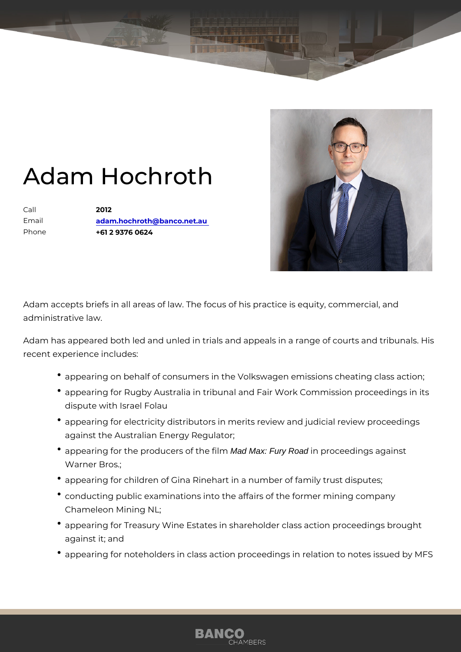## Adam Hochroth

Call 2012 Email [adam.hochroth@banco.](mailto:adam.hochroth@banco.net.au)net.au Phone +61 2 9376 0624

Adam accepts briefs in all areas of law. The focus of his practice is equi administrative law.

Adam has appeared both led and unled in trials and appeals in a range o recent experience includes:

- appearing on behalf of consumers in the Volkswagen emissions ch
- appearing for Rugby Australia in tribunal and Fair Work Commission dispute with Israel Folau
- appearing for electricity distributors in merits review and judicial against the Australian Energy Regulator;
- appearing for the producers Mad Maxe Fury Road in proceedings against Warner Bros.;
- appearing for children of Gina Rinehart in a number of family trus
- conducting public examinations into the affairs of the former mining Chameleon Mining NL;
- \* appearing for Treasury Wine Estates in shareholder class action p against it; and
- appearing for noteholders in class action proceedings in relation